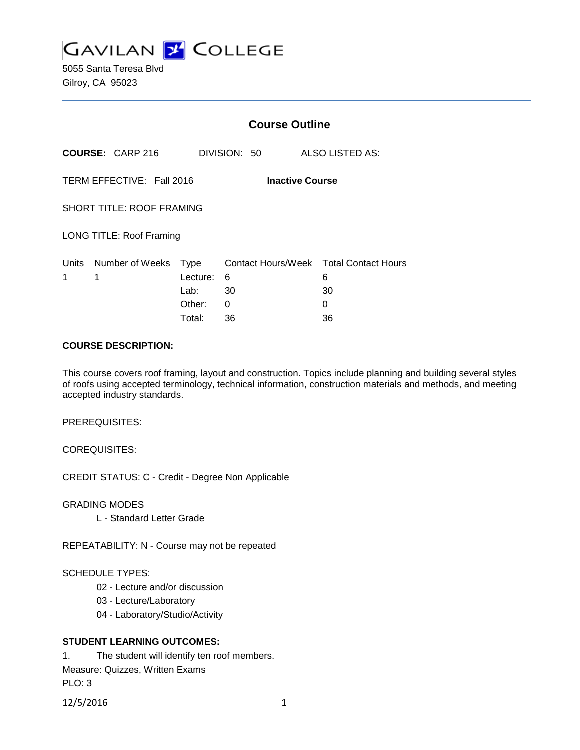

5055 Santa Teresa Blvd Gilroy, CA 95023

|                                                     |                         | <b>Course Outline</b> |              |                                             |
|-----------------------------------------------------|-------------------------|-----------------------|--------------|---------------------------------------------|
|                                                     | <b>COURSE: CARP 216</b> |                       | DIVISION: 50 | ALSO LISTED AS:                             |
| TERM EFFECTIVE: Fall 2016<br><b>Inactive Course</b> |                         |                       |              |                                             |
| <b>SHORT TITLE: ROOF FRAMING</b>                    |                         |                       |              |                                             |
| <b>LONG TITLE: Roof Framing</b>                     |                         |                       |              |                                             |
| Units<br>1                                          | Number of Weeks<br>1    | Type<br>Lecture:      | 6            | Contact Hours/Week Total Contact Hours<br>6 |
|                                                     |                         | Lab:                  | 30           | 30                                          |
|                                                     |                         | Other:                | 0            | 0                                           |
|                                                     |                         | Total:                | 36           | 36                                          |

### **COURSE DESCRIPTION:**

This course covers roof framing, layout and construction. Topics include planning and building several styles of roofs using accepted terminology, technical information, construction materials and methods, and meeting accepted industry standards.

PREREQUISITES:

COREQUISITES:

CREDIT STATUS: C - Credit - Degree Non Applicable

GRADING MODES

L - Standard Letter Grade

REPEATABILITY: N - Course may not be repeated

#### SCHEDULE TYPES:

- 02 Lecture and/or discussion
- 03 Lecture/Laboratory
- 04 Laboratory/Studio/Activity

#### **STUDENT LEARNING OUTCOMES:**

1. The student will identify ten roof members.

Measure: Quizzes, Written Exams PLO: 3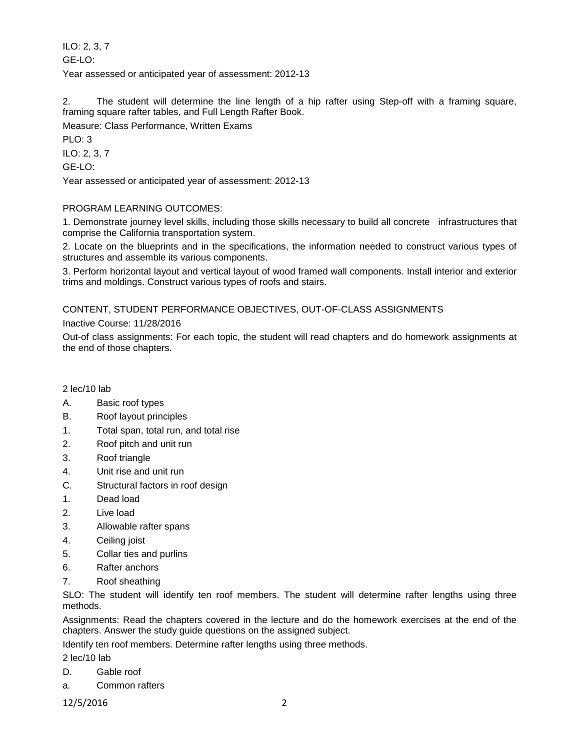ILO: 2, 3, 7 GE-LO: Year assessed or anticipated year of assessment: 2012-13

2. The student will determine the line length of a hip rafter using Step-off with a framing square, framing square rafter tables, and Full Length Rafter Book.

Measure: Class Performance, Written Exams

PLO: 3

ILO: 2, 3, 7

GE-LO:

Year assessed or anticipated year of assessment: 2012-13

# PROGRAM LEARNING OUTCOMES:

1. Demonstrate journey level skills, including those skills necessary to build all concrete infrastructures that comprise the California transportation system.

2. Locate on the blueprints and in the specifications, the information needed to construct various types of structures and assemble its various components.

3. Perform horizontal layout and vertical layout of wood framed wall components. Install interior and exterior trims and moldings. Construct various types of roofs and stairs.

# CONTENT, STUDENT PERFORMANCE OBJECTIVES, OUT-OF-CLASS ASSIGNMENTS

## Inactive Course: 11/28/2016

Out-of class assignments: For each topic, the student will read chapters and do homework assignments at the end of those chapters.

2 lec/10 lab

- A. Basic roof types
- B. Roof layout principles
- 1. Total span, total run, and total rise
- 2. Roof pitch and unit run
- 3. Roof triangle
- 4. Unit rise and unit run
- C. Structural factors in roof design
- 1. Dead load
- 2. Live load
- 3. Allowable rafter spans
- 4. Ceiling joist
- 5. Collar ties and purlins
- 6. Rafter anchors
- 7. Roof sheathing

SLO: The student will identify ten roof members. The student will determine rafter lengths using three methods.

Assignments: Read the chapters covered in the lecture and do the homework exercises at the end of the chapters. Answer the study guide questions on the assigned subject.

Identify ten roof members. Determine rafter lengths using three methods.

2 lec/10 lab

- D. Gable roof
- a. Common rafters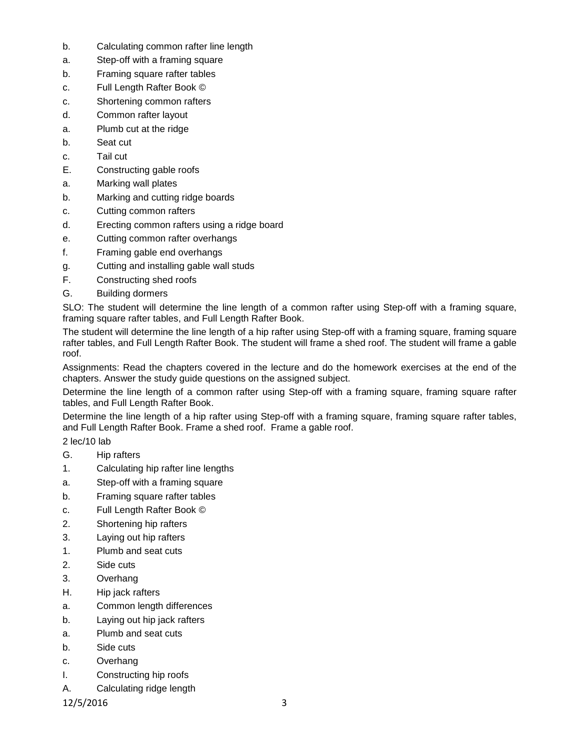- b. Calculating common rafter line length
- a. Step-off with a framing square
- b. Framing square rafter tables
- c. Full Length Rafter Book ©
- c. Shortening common rafters
- d. Common rafter layout
- a. Plumb cut at the ridge
- b. Seat cut
- c. Tail cut
- E. Constructing gable roofs
- a. Marking wall plates
- b. Marking and cutting ridge boards
- c. Cutting common rafters
- d. Erecting common rafters using a ridge board
- e. Cutting common rafter overhangs
- f. Framing gable end overhangs
- g. Cutting and installing gable wall studs
- F. Constructing shed roofs
- G. Building dormers

SLO: The student will determine the line length of a common rafter using Step-off with a framing square, framing square rafter tables, and Full Length Rafter Book.

The student will determine the line length of a hip rafter using Step-off with a framing square, framing square rafter tables, and Full Length Rafter Book. The student will frame a shed roof. The student will frame a gable roof.

Assignments: Read the chapters covered in the lecture and do the homework exercises at the end of the chapters. Answer the study guide questions on the assigned subject.

Determine the line length of a common rafter using Step-off with a framing square, framing square rafter tables, and Full Length Rafter Book.

Determine the line length of a hip rafter using Step-off with a framing square, framing square rafter tables, and Full Length Rafter Book. Frame a shed roof. Frame a gable roof.

# 2 lec/10 lab

- G. Hip rafters
- 1. Calculating hip rafter line lengths
- a. Step-off with a framing square
- b. Framing square rafter tables
- c. Full Length Rafter Book ©
- 2. Shortening hip rafters
- 3. Laying out hip rafters
- 1. Plumb and seat cuts
- 2. Side cuts
- 3. Overhang
- H. Hip jack rafters
- a. Common length differences
- b. Laying out hip jack rafters
- a. Plumb and seat cuts
- b. Side cuts
- c. Overhang
- I. Constructing hip roofs
- A. Calculating ridge length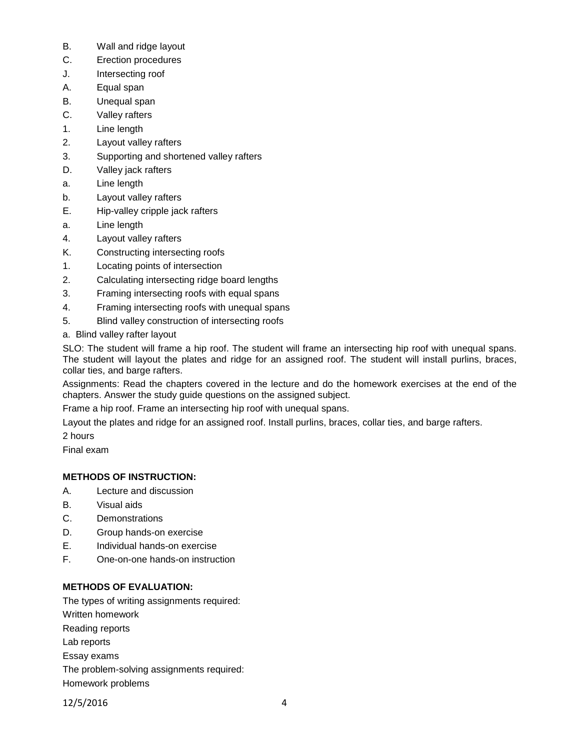- B. Wall and ridge layout
- C. Erection procedures
- J. Intersecting roof
- A. Equal span
- B. Unequal span
- C. Valley rafters
- 1. Line length
- 2. Layout valley rafters
- 3. Supporting and shortened valley rafters
- D. Valley jack rafters
- a. Line length
- b. Layout valley rafters
- E. Hip-valley cripple jack rafters
- a. Line length
- 4. Layout valley rafters
- K. Constructing intersecting roofs
- 1. Locating points of intersection
- 2. Calculating intersecting ridge board lengths
- 3. Framing intersecting roofs with equal spans
- 4. Framing intersecting roofs with unequal spans
- 5. Blind valley construction of intersecting roofs
- a. Blind valley rafter layout

SLO: The student will frame a hip roof. The student will frame an intersecting hip roof with unequal spans. The student will layout the plates and ridge for an assigned roof. The student will install purlins, braces, collar ties, and barge rafters.

Assignments: Read the chapters covered in the lecture and do the homework exercises at the end of the chapters. Answer the study guide questions on the assigned subject.

Frame a hip roof. Frame an intersecting hip roof with unequal spans.

Layout the plates and ridge for an assigned roof. Install purlins, braces, collar ties, and barge rafters.

2 hours

Final exam

# **METHODS OF INSTRUCTION:**

- A. Lecture and discussion
- B. Visual aids
- C. Demonstrations
- D. Group hands-on exercise
- E. Individual hands-on exercise
- F. One-on-one hands-on instruction

# **METHODS OF EVALUATION:**

The types of writing assignments required: Written homework Reading reports Lab reports Essay exams The problem-solving assignments required: Homework problems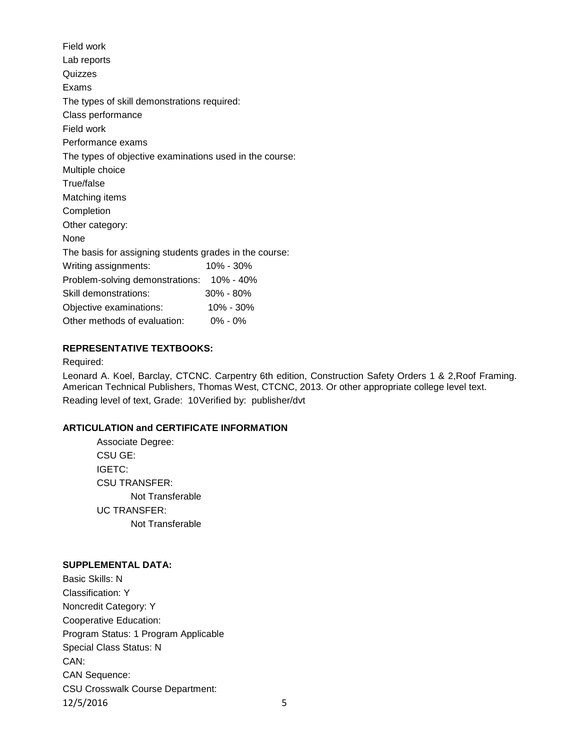| Lab reports                                             |  |  |  |  |  |
|---------------------------------------------------------|--|--|--|--|--|
|                                                         |  |  |  |  |  |
|                                                         |  |  |  |  |  |
| The types of skill demonstrations required:             |  |  |  |  |  |
| Class performance                                       |  |  |  |  |  |
|                                                         |  |  |  |  |  |
| Performance exams                                       |  |  |  |  |  |
| The types of objective examinations used in the course: |  |  |  |  |  |
| Multiple choice                                         |  |  |  |  |  |
|                                                         |  |  |  |  |  |
| Matching items                                          |  |  |  |  |  |
|                                                         |  |  |  |  |  |
| Other category:                                         |  |  |  |  |  |
|                                                         |  |  |  |  |  |
| The basis for assigning students grades in the course:  |  |  |  |  |  |
| 10% - 30%                                               |  |  |  |  |  |
| Problem-solving demonstrations: 10% - 40%               |  |  |  |  |  |
| 30% - 80%                                               |  |  |  |  |  |
| 10% - 30%                                               |  |  |  |  |  |
| Other methods of evaluation:<br>$0\% - 0\%$             |  |  |  |  |  |
|                                                         |  |  |  |  |  |

## **REPRESENTATIVE TEXTBOOKS:**

#### Required:

Leonard A. Koel, Barclay, CTCNC. Carpentry 6th edition, Construction Safety Orders 1 & 2,Roof Framing. American Technical Publishers, Thomas West, CTCNC, 2013. Or other appropriate college level text. Reading level of text, Grade: 10Verified by: publisher/dvt

### **ARTICULATION and CERTIFICATE INFORMATION**

Associate Degree: CSU GE: IGETC: CSU TRANSFER: Not Transferable UC TRANSFER: Not Transferable

#### **SUPPLEMENTAL DATA:**

Basic Skills: N Classification: Y Noncredit Category: Y Cooperative Education: Program Status: 1 Program Applicable Special Class Status: N CAN: CAN Sequence: CSU Crosswalk Course Department: 12/5/2016 5